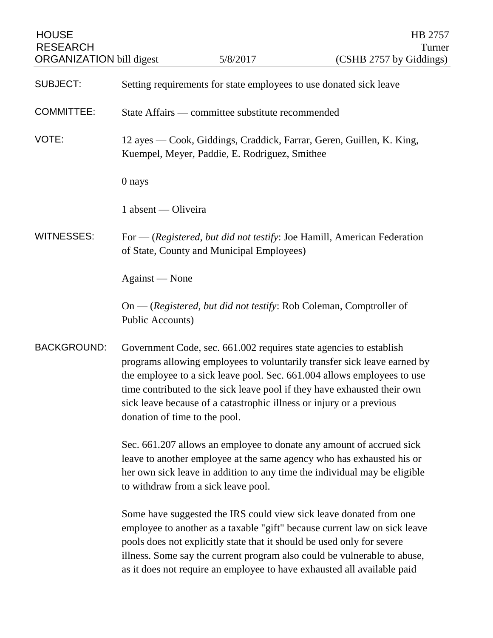| <b>HOUSE</b><br><b>RESEARCH</b><br><b>ORGANIZATION</b> bill digest |                                                                                                                                                                                                                                                                   | 5/8/2017                                                             | HB 2757<br>Turner<br>(CSHB 2757 by Giddings)                                                                                                                                                                                                                                                                                                                                     |
|--------------------------------------------------------------------|-------------------------------------------------------------------------------------------------------------------------------------------------------------------------------------------------------------------------------------------------------------------|----------------------------------------------------------------------|----------------------------------------------------------------------------------------------------------------------------------------------------------------------------------------------------------------------------------------------------------------------------------------------------------------------------------------------------------------------------------|
| <b>SUBJECT:</b>                                                    | Setting requirements for state employees to use donated sick leave                                                                                                                                                                                                |                                                                      |                                                                                                                                                                                                                                                                                                                                                                                  |
| <b>COMMITTEE:</b>                                                  | State Affairs — committee substitute recommended                                                                                                                                                                                                                  |                                                                      |                                                                                                                                                                                                                                                                                                                                                                                  |
| VOTE:                                                              |                                                                                                                                                                                                                                                                   | Kuempel, Meyer, Paddie, E. Rodriguez, Smithee                        | 12 ayes — Cook, Giddings, Craddick, Farrar, Geren, Guillen, K. King,                                                                                                                                                                                                                                                                                                             |
|                                                                    | 0 nays                                                                                                                                                                                                                                                            |                                                                      |                                                                                                                                                                                                                                                                                                                                                                                  |
|                                                                    | 1 absent — Oliveira                                                                                                                                                                                                                                               |                                                                      |                                                                                                                                                                                                                                                                                                                                                                                  |
| <b>WITNESSES:</b>                                                  |                                                                                                                                                                                                                                                                   | of State, County and Municipal Employees)                            | For — (Registered, but did not testify: Joe Hamill, American Federation                                                                                                                                                                                                                                                                                                          |
|                                                                    | Against — None                                                                                                                                                                                                                                                    |                                                                      |                                                                                                                                                                                                                                                                                                                                                                                  |
|                                                                    | Public Accounts)                                                                                                                                                                                                                                                  |                                                                      | $On - (registered, but did not testify: Rob Coleman, Computer of$                                                                                                                                                                                                                                                                                                                |
| <b>BACKGROUND:</b>                                                 | donation of time to the pool.                                                                                                                                                                                                                                     | sick leave because of a catastrophic illness or injury or a previous | Government Code, sec. 661.002 requires state agencies to establish<br>programs allowing employees to voluntarily transfer sick leave earned by<br>the employee to a sick leave pool. Sec. 661.004 allows employees to use<br>time contributed to the sick leave pool if they have exhausted their own                                                                            |
|                                                                    | Sec. 661.207 allows an employee to donate any amount of accrued sick<br>leave to another employee at the same agency who has exhausted his or<br>her own sick leave in addition to any time the individual may be eligible<br>to withdraw from a sick leave pool. |                                                                      |                                                                                                                                                                                                                                                                                                                                                                                  |
|                                                                    |                                                                                                                                                                                                                                                                   |                                                                      | Some have suggested the IRS could view sick leave donated from one<br>employee to another as a taxable "gift" because current law on sick leave<br>pools does not explicitly state that it should be used only for severe<br>illness. Some say the current program also could be vulnerable to abuse,<br>as it does not require an employee to have exhausted all available paid |